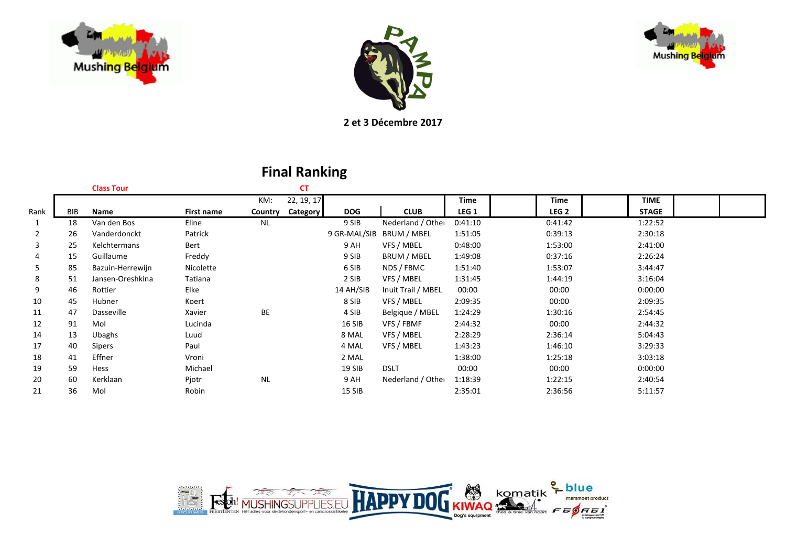





**2 et 3 Décembre 2017**

|      |            | <b>Class Tour</b> |            |           | <b>CT</b>  |            |                          |         |                  |              |  |
|------|------------|-------------------|------------|-----------|------------|------------|--------------------------|---------|------------------|--------------|--|
|      |            |                   |            | KM:       | 22, 19, 17 |            |                          | Time    | <b>Time</b>      | <b>TIME</b>  |  |
| Rank | <b>BIB</b> | Name              | First name | Country   | Category   | <b>DOG</b> | <b>CLUB</b>              | LEG 1   | LEG <sub>2</sub> | <b>STAGE</b> |  |
| 1    | 18         | Van den Bos       | Eline      | <b>NL</b> |            | 9 SIB      | Nederland / Other        | 0:41:10 | 0:41:42          | 1:22:52      |  |
| 2    | 26         | Vanderdonckt      | Patrick    |           |            |            | 9 GR-MAL/SIB BRUM / MBEL | 1:51:05 | 0:39:13          | 2:30:18      |  |
| 3    | 25         | Kelchtermans      | Bert       |           |            | 9 AH       | VFS / MBEL               | 0:48:00 | 1:53:00          | 2:41:00      |  |
| 4    | 15         | Guillaume         | Freddy     |           |            | 9 SIB      | BRUM / MBEL              | 1:49:08 | 0:37:16          | 2:26:24      |  |
| 5    | 85         | Bazuin-Herrewijn  | Nicolette  |           |            | 6 SIB      | NDS / FBMC               | 1:51:40 | 1:53:07          | 3:44:47      |  |
| 8    | 51         | Jansen-Oreshkina  | Tatiana    |           |            | 2 SIB      | VFS / MBEL               | 1:31:45 | 1:44:19          | 3:16:04      |  |
| 9    | 46         | Rottier           | Elke       |           |            | 14 AH/SIB  | Inuit Trail / MBEL       | 00:00   | 00:00            | 0:00:00      |  |
| 10   | 45         | Hubner            | Koert      |           |            | 8 SIB      | VFS / MBEL               | 2:09:35 | 00:00            | 2:09:35      |  |
| 11   | 47         | Dasseville        | Xavier     | BE        |            | 4 SIB      | Belgique / MBEL          | 1:24:29 | 1:30:16          | 2:54:45      |  |
| 12   | 91         | Mol               | Lucinda    |           |            | 16 SIB     | VFS / FBMF               | 2:44:32 | 00:00            | 2:44:32      |  |
| 14   | 13         | Ubaghs            | Luud       |           |            | 8 MAL      | VFS / MBEL               | 2:28:29 | 2:36:14          | 5:04:43      |  |
| 17   | 40         | <b>Sipers</b>     | Paul       |           |            | 4 MAL      | VFS / MBEL               | 1:43:23 | 1:46:10          | 3:29:33      |  |
| 18   | 41         | Effner            | Vroni      |           |            | 2 MAL      |                          | 1:38:00 | 1:25:18          | 3:03:18      |  |
| 19   | 59         | Hess              | Michael    |           |            | 19 SIB     | <b>DSLT</b>              | 00:00   | 00:00            | 0:00:00      |  |
| 20   | 60         | Kerklaan          | Pjotr      | <b>NL</b> |            | 9 AH       | Nederland / Other        | 1:18:39 | 1:22:15          | 2:40:54      |  |
| 21   | 36         | Mol               | Robin      |           |            | 15 SIB     |                          | 2:35:01 | 2:36:56          | 5:11:57      |  |
|      |            |                   |            |           |            |            |                          |         |                  |              |  |

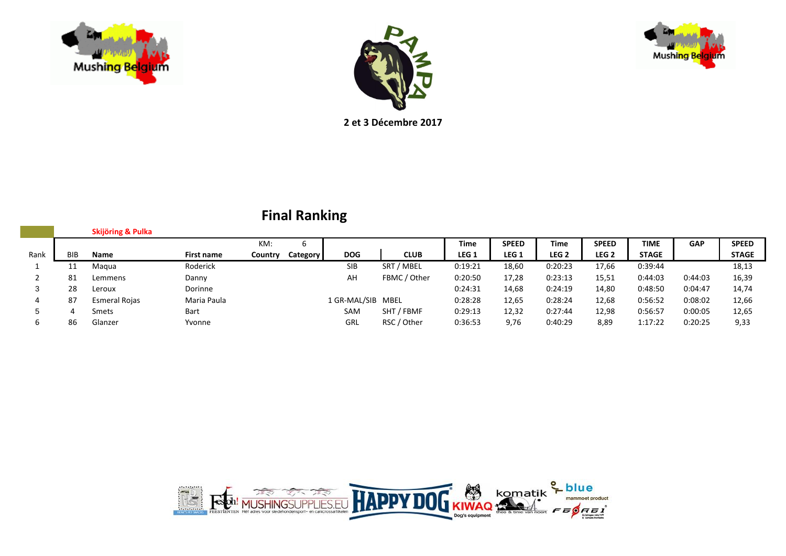



Mushing Belg m

**2 et 3 Décembre 2017**

|      |     | Skijöring & Pulka |             |         |             |                   |              |         |              |         |                  |              |            |              |
|------|-----|-------------------|-------------|---------|-------------|-------------------|--------------|---------|--------------|---------|------------------|--------------|------------|--------------|
|      |     |                   |             | KM:     | $\mathbf b$ |                   |              | Time    | <b>SPEED</b> | Time    | <b>SPEED</b>     | <b>TIME</b>  | <b>GAP</b> | <b>SPEED</b> |
| Rank | BIB | Name              | First name  | Country | Category    | <b>DOG</b>        | <b>CLUB</b>  | LEG 1   | LEG 1        | LEG 2   | LEG <sub>2</sub> | <b>STAGE</b> |            | <b>STAGE</b> |
|      | ᆠᆂ  | Magua             | Roderick    |         |             | <b>SIB</b>        | SRT / MBEL   | 0:19:21 | 18,60        | 0:20:23 | 17,66            | 0:39:44      |            | 18,13        |
|      | 81  | Lemmens           | Danny       |         |             | AH                | FBMC / Other | 0:20:50 | 17,28        | 0:23:13 | 15,51            | 0:44:03      | 0:44:03    | 16,39        |
|      | 28  | Leroux            | Dorinne     |         |             |                   |              | 0:24:31 | 14,68        | 0:24:19 | 14,80            | 0:48:50      | 0:04:47    | 14,74        |
|      | 87  | Esmeral Rojas     | Maria Paula |         |             | 1 GR-MAL/SIB MBEL |              | 0:28:28 | 12,65        | 0:28:24 | 12,68            | 0:56:52      | 0:08:02    | 12,66        |
|      | 4   | Smets             | Bart        |         |             | SAM               | SHT / FBMF   | 0:29:13 | 12,32        | 0:27:44 | 12,98            | 0:56:57      | 0:00:05    | 12,65        |
|      | 86  | Glanzer           | Yvonne      |         |             | GRL               | RSC / Other  | 0:36:53 | 9,76         | 0:40:29 | 8,89             | 1:17:22      | 0:20:25    | 9,33         |

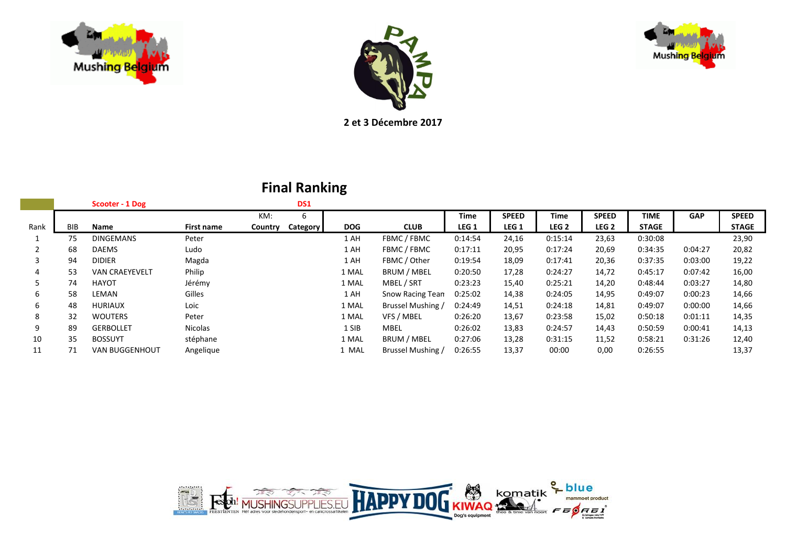





**2 et 3 Décembre 2017**

|            | Scooter - 1 Dog       |            |         | DS1 |            |                   |                  |                  |                  |                  |              |            |              |
|------------|-----------------------|------------|---------|-----|------------|-------------------|------------------|------------------|------------------|------------------|--------------|------------|--------------|
|            |                       |            | KM:     | 6   |            |                   | Time             | <b>SPEED</b>     | Time             | <b>SPEED</b>     | TIME         | <b>GAP</b> | <b>SPEED</b> |
| <b>BIB</b> | Name                  | First name | Country |     | <b>DOG</b> | <b>CLUB</b>       | LEG <sub>1</sub> | LEG <sub>1</sub> | LEG <sub>2</sub> | LEG <sub>2</sub> | <b>STAGE</b> |            | <b>STAGE</b> |
| 75         | <b>DINGEMANS</b>      | Peter      |         |     | 1 AH       | FBMC / FBMC       | 0:14:54          | 24,16            | 0:15:14          | 23,63            | 0:30:08      |            | 23,90        |
| 68         | <b>DAEMS</b>          | Ludo       |         |     | 1 AH       | FBMC / FBMC       | 0:17:11          | 20,95            | 0:17:24          | 20,69            | 0:34:35      | 0:04:27    | 20,82        |
| 94         | <b>DIDIER</b>         | Magda      |         |     | 1 AH       | FBMC / Other      | 0:19:54          | 18,09            | 0:17:41          | 20,36            | 0:37:35      | 0:03:00    | 19,22        |
| 53         | <b>VAN CRAEYEVELT</b> | Philip     |         |     | 1 MAL      | BRUM / MBEL       | 0:20:50          | 17,28            | 0:24:27          | 14,72            | 0:45:17      | 0:07:42    | 16,00        |
| 74         | <b>HAYOT</b>          | Jérémy     |         |     | 1 MAL      | MBEL / SRT        | 0:23:23          | 15,40            | 0:25:21          | 14,20            | 0:48:44      | 0:03:27    | 14,80        |
| 58         | LEMAN                 | Gilles     |         |     | 1 AH       | Snow Racing Tean  | 0:25:02          | 14,38            | 0:24:05          | 14,95            | 0:49:07      | 0:00:23    | 14,66        |
| 48         | <b>HURIAUX</b>        | Loic       |         |     | 1 MAL      | Brussel Mushing / | 0:24:49          | 14,51            | 0:24:18          | 14,81            | 0:49:07      | 0:00:00    | 14,66        |
| 32         | <b>WOUTERS</b>        | Peter      |         |     | 1 MAL      | VFS / MBEL        | 0:26:20          | 13,67            | 0:23:58          | 15,02            | 0:50:18      | 0:01:11    | 14,35        |
| 89         | <b>GERBOLLET</b>      | Nicolas    |         |     | 1 SIB      | <b>MBEL</b>       | 0:26:02          | 13,83            | 0:24:57          | 14,43            | 0:50:59      | 0:00:41    | 14,13        |
| 35         | <b>BOSSUYT</b>        | stéphane   |         |     | 1 MAL      | BRUM / MBEL       | 0:27:06          | 13,28            | 0:31:15          | 11,52            | 0:58:21      | 0:31:26    | 12,40        |
| 71         | <b>VAN BUGGENHOUT</b> | Angelique  |         |     | 1 MAL      | Brussel Mushing / | 0:26:55          | 13,37            | 00:00            | 0,00             | 0:26:55      |            | 13,37        |
|            |                       |            |         |     |            | <b>Category</b>   |                  |                  |                  |                  |              |            |              |

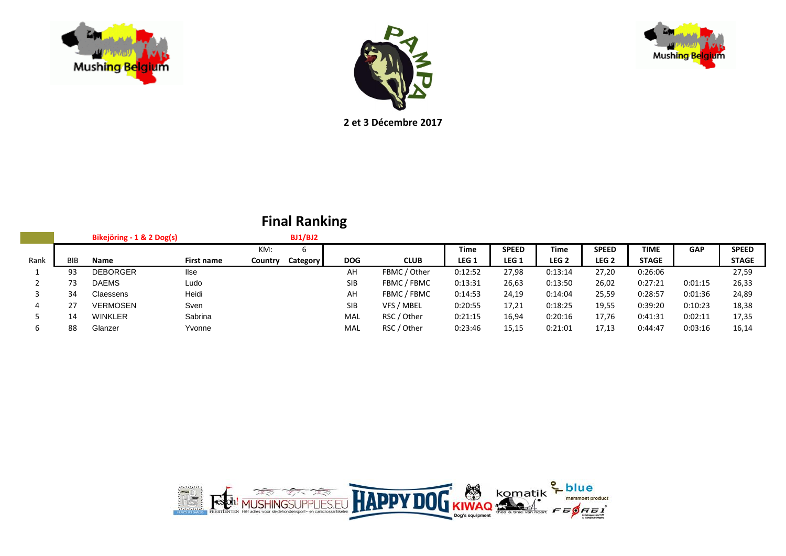

I



**2 et 3 Décembre 2017**

|      |            | Bikejöring - 1 & 2 Dog(s) |             |         | BJ1/BJ2  |            |              |                  |              |                  |                  |              |            |              |
|------|------------|---------------------------|-------------|---------|----------|------------|--------------|------------------|--------------|------------------|------------------|--------------|------------|--------------|
|      |            |                           |             | KM:     | 6        |            |              | <b>Time</b>      | <b>SPEED</b> | <b>Time</b>      | <b>SPEED</b>     | <b>TIME</b>  | <b>GAP</b> | <b>SPEED</b> |
| Rank | <b>BIB</b> | Name                      | First name  | Country | Category | <b>DOG</b> | <b>CLUB</b>  | LEG <sub>1</sub> | LEG 1        | LEG <sub>2</sub> | LEG <sub>2</sub> | <b>STAGE</b> |            | <b>STAGE</b> |
|      | 93         | <b>DEBORGER</b>           | <b>I</b> se |         |          | AH         | FBMC / Other | 0:12:52          | 27,98        | 0:13:14          | 27,20            | 0:26:06      |            | 27,59        |
|      |            | <b>DAEMS</b>              | Ludo        |         |          | <b>SIB</b> | FBMC / FBMC  | 0:13:31          | 26,63        | 0:13:50          | 26,02            | 0:27:21      | 0:01:15    | 26,33        |
|      | 34         | Claessens                 | Heidi       |         |          | AH         | FBMC / FBMC  | 0:14:53          | 24,19        | 0:14:04          | 25,59            | 0:28:57      | 0:01:36    | 24,89        |
|      |            | <b>VERMOSEN</b>           | Sven        |         |          | <b>SIB</b> | VFS / MBEL   | 0:20:55          | 17,21        | 0:18:25          | 19,55            | 0:39:20      | 0:10:23    | 18,38        |
|      | 14         | <b>WINKLER</b>            | Sabrina     |         |          | MAL        | RSC / Other  | 0:21:15          | 16,94        | 0:20:16          | 17,76            | 0:41:31      | 0:02:11    | 17,35        |
|      | 88         | Glanzer                   | Yvonne      |         |          | MAL        | RSC / Other  | 0:23:46          | 15,15        | 0:21:01          | 17,13            | 0:44:47      | 0:03:16    | 16,14        |



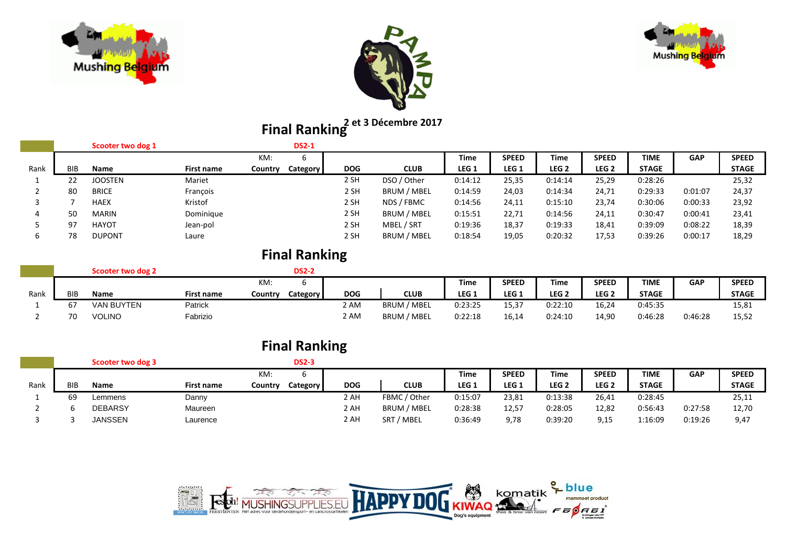





# **2 et 3 Décembre 2017 Final Ranking**

|      |            | Scooter two dog 1 |            |         | <b>DS2-1</b>    |            |             |         |                  |                  |                  |              |         |              |
|------|------------|-------------------|------------|---------|-----------------|------------|-------------|---------|------------------|------------------|------------------|--------------|---------|--------------|
|      |            |                   |            | KM:     | b               |            |             | Time    | <b>SPEED</b>     | Time             | <b>SPEED</b>     | <b>TIME</b>  | GAP     | <b>SPEED</b> |
| Rank | <b>BIB</b> | Name              | First name | Country | <b>Category</b> | <b>DOG</b> | <b>CLUB</b> | LEG 1   | LEG <sub>1</sub> | LEG <sub>2</sub> | LEG <sub>2</sub> | <b>STAGE</b> |         | <b>STAGE</b> |
|      | 22         | <b>JOOSTEN</b>    | Mariet     |         |                 | 2 SH       | DSO / Other | 0:14:12 | 25,35            | 0:14:14          | 25,29            | 0:28:26      |         | 25,32        |
|      | 80         | <b>BRICE</b>      | François   |         |                 | 2 SH       | BRUM / MBEL | 0:14:59 | 24,03            | 0:14:34          | 24,71            | 0:29:33      | 0:01:07 | 24,37        |
|      |            | <b>HAEX</b>       | Kristof    |         |                 | 2 SH       | NDS / FBMC  | 0:14:56 | 24,11            | 0:15:10          | 23,74            | 0:30:06      | 0:00:33 | 23,92        |
| 4    | 50         | <b>MARIN</b>      | Dominique  |         |                 | 2 SH       | BRUM / MBEL | 0:15:51 | 22,71            | 0:14:56          | 24,11            | 0:30:47      | 0:00:41 | 23,41        |
|      | 97         | HAYOT             | Jean-pol   |         |                 | 2 SH       | MBEL / SRT  | 0:19:36 | 18,37            | 0:19:33          | 18,41            | 0:39:09      | 0:08:22 | 18,39        |
| b    | 78         | <b>DUPONT</b>     | Laure      |         |                 | 2 SH       | BRUM / MBEL | 0:18:54 | 19,05            | 0:20:32          | 17,53            | 0:39:26      | 0:00:17 | 18,29        |

|      |            | Scooter two dog 2 |            |         | <b>DS2-2</b> |            |             |                  |                  |                  |              |              |            |              |
|------|------------|-------------------|------------|---------|--------------|------------|-------------|------------------|------------------|------------------|--------------|--------------|------------|--------------|
|      |            |                   |            | KM:     |              |            |             | <b>Time</b>      | <b>SPEED</b>     | Time             | <b>SPEED</b> | <b>TIME</b>  | <b>GAP</b> | <b>SPEED</b> |
| Rank | <b>BIB</b> | <b>Name</b>       | First name | Country | Category     | <b>DOG</b> | <b>CLUB</b> | LEG <sub>1</sub> | LEG <sub>1</sub> | LEG <sub>2</sub> | LEG 2        | <b>STAGE</b> |            | <b>STAGE</b> |
|      |            | <b>VAN BUYTEN</b> | Patrick    |         |              | 2 AM       | BRUM / MBEL | 0:23:25          | 15.37            | 0:22:10          | 16,24        | 0:45:35      |            | 15,81        |
|      | 70         | <b>VOLINO</b>     | Fabrizio   |         |              | 2 AM       | BRUM / MBEL | 0:22:18          | 16,14            | 0:24:10          | 14,90        | 0:46:28      | 0:46:28    | 15,52        |

|      |     |                   |            |         | <b>Final Ranking</b> |            |              |                  |                  |         |                  |              |            |              |
|------|-----|-------------------|------------|---------|----------------------|------------|--------------|------------------|------------------|---------|------------------|--------------|------------|--------------|
|      |     | Scooter two dog 3 |            |         | <b>DS2-3</b>         |            |              |                  |                  |         |                  |              |            |              |
|      |     |                   |            | KM:     |                      |            |              | Time             | <b>SPEED</b>     | Time    | <b>SPEED</b>     | <b>TIME</b>  | <b>GAP</b> | <b>SPEED</b> |
| Rank | BIB | Name              | First name | Country | Category             | <b>DOG</b> | <b>CLUB</b>  | LEG <sub>1</sub> | LEG <sub>1</sub> | LEG 2   | LEG <sub>2</sub> | <b>STAGE</b> |            | <b>STAGE</b> |
|      | 69  | Lemmens           | Danny      |         |                      | 2 AH       | FBMC / Other | 0:15:07          | 23,81            | 0:13:38 | 26,41            | 0:28:45      |            | 25,11        |
|      |     | <b>DEBARSY</b>    | Maureen    |         |                      | 2 AH       | BRUM / MBEL  | 0:28:38          | 12,57            | 0:28:05 | 12,82            | 0:56:43      | 0:27:58    | 12,70        |
|      |     | JANSSEN           | Laurence   |         |                      | 2 AH       | SRT / MBEL   | 0:36:49          | 9,78             | 0:39:20 | 9,15             | 1:16:09      | 0:19:26    | 9,47         |

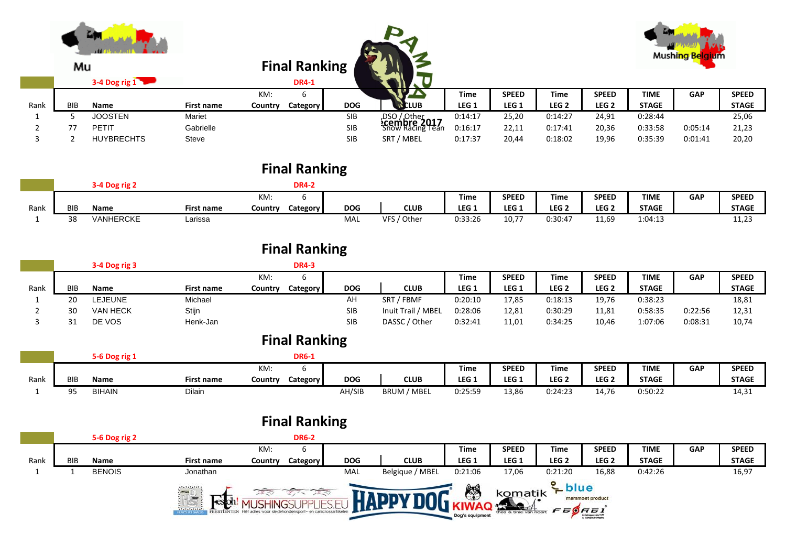|      | Mu         | ш<br>3-4 Dog rig 1 |            |         | <b>Final Ranking</b><br><b>DR4-1</b> |            |                                                         |                  |                  |                  |                  |              | Mushing Belgium |              |
|------|------------|--------------------|------------|---------|--------------------------------------|------------|---------------------------------------------------------|------------------|------------------|------------------|------------------|--------------|-----------------|--------------|
|      |            |                    |            | KM:     | ь                                    |            |                                                         | <b>Time</b>      | <b>SPEED</b>     | <b>Time</b>      | <b>SPEED</b>     | <b>TIME</b>  | <b>GAP</b>      | <b>SPEED</b> |
| Rank | <b>BIB</b> | Name               | First name | Country | Category                             | <b>DOG</b> | <b>N</b> CLUB                                           | LEG <sub>1</sub> | LEG <sub>1</sub> | LEG <sub>2</sub> | LEG <sub>2</sub> | <b>STAGE</b> |                 | <b>STAGE</b> |
|      |            | <b>JOOSTEN</b>     | Mariet     |         |                                      | SIB        |                                                         | 0:14:17          | 25,20            | 0:14:27          | 24,91            | 0:28:44      |                 | 25,06        |
|      | 77         | <b>PETIT</b>       | Gabrielle  |         |                                      | <b>SIB</b> | ,DSO / Other<br><b>:cembre 2017</b><br>Snow Racing Tean | 0:16:17          | 22,11            | 0:17:41          | 20,36            | 0:33:58      | 0:05:14         | 21,23        |
|      |            | <b>HUYBRECHTS</b>  | Steve      |         |                                      | <b>SIB</b> | SRT / MBEL                                              | 0:17:37          | 20,44            | 0:18:02          | 19,96            | 0:35:39      | 0:01:41         | 20,20        |

## **Final Ranking**

|      |            |                  |                   |         | DR4-2           |            |                       |                  |                  |                  |                  |              |            |              |
|------|------------|------------------|-------------------|---------|-----------------|------------|-----------------------|------------------|------------------|------------------|------------------|--------------|------------|--------------|
|      |            |                  |                   | KM:     |                 |            |                       | Time             | <b>SPEED</b>     | Time             | <b>SPEED</b>     | <b>TIME</b>  | <b>GAP</b> | <b>SPEED</b> |
| Rank | <b>BIB</b> | <b>Name</b>      | <b>First name</b> | Country | <b>Category</b> | <b>DOG</b> | <b>CLUB</b>           | LEG <sub>1</sub> | LEG <sub>1</sub> | LEG <sub>2</sub> | LEG <sub>2</sub> | <b>STAGE</b> |            | <b>STAGE</b> |
|      | 38         | <b>VANHERCKE</b> | Larissa           |         |                 | MAL        | <b>VFS</b><br>/ Other | 0:33:26          | 10,77            | 0:30:47          | 11,69            | 1:04:13      |            | 11,43        |

|      |     | 3-4 Dog rig 3   |                   |         | <b>DR4-3</b> |            |                      |         |                  |                  |                  |              |            |              |
|------|-----|-----------------|-------------------|---------|--------------|------------|----------------------|---------|------------------|------------------|------------------|--------------|------------|--------------|
|      |     |                 |                   | KM:     |              |            |                      | Time    | <b>SPEED</b>     | Time             | <b>SPEED</b>     | <b>TIME</b>  | <b>GAP</b> | <b>SPEED</b> |
| Rank | BIB | Name            | <b>First name</b> | Country | Category     | <b>DOG</b> | <b>CLUB</b>          | LEG 1   | LEG <sub>1</sub> | LEG <sub>2</sub> | LEG <sub>2</sub> | <b>STAGE</b> |            | <b>STAGE</b> |
|      | 20  | EJEUNE.         | Michael           |         |              | AH         | <b>SRT</b><br>7 FBMF | 0:20:10 | 17,85            | 0:18:13          | 19,76            | 0:38:23      |            | 18,81        |
|      | 30  | <b>VAN HECK</b> | Stijn             |         |              | <b>SIB</b> | Inuit Trail / MBEL   | 0:28:06 | 12,81            | 0:30:29          | 11,81            | 0:58:35      | 0:22:56    | 12,31        |
|      | 21  | DE VOS          | Henk-Jan          |         |              | <b>SIB</b> | DASSC / Other        | 0:32:41 | 11,01            | 0:34:25          | 10,46            | 1:07:06      | 0:08:31    | 10,74        |

## **Final Ranking**

|      |     | 5-6 Dog rig   |            |         | <b>DR6-1</b> |            |                       |         |                  |                  |                  |              |            |              |
|------|-----|---------------|------------|---------|--------------|------------|-----------------------|---------|------------------|------------------|------------------|--------------|------------|--------------|
|      |     |               |            | KM.     |              |            |                       | Time    | <b>SPEED</b>     | Time             | <b>SPEED</b>     | <b>TIME</b>  | <b>GAP</b> | <b>SPEED</b> |
| Rank | BIB | Name          | First name | Country | Category     | <b>DOG</b> | <b>CLUB</b>           | LEG 1   | LEG <sub>1</sub> | LEG <sub>2</sub> | LEG <sub>2</sub> | <b>STAGE</b> |            | <b>STAGE</b> |
|      | QE  | <b>BIHAIN</b> | Dilain     |         |              | AH/SIB     | ' MBEL<br><b>BRUM</b> | 0:25:59 | 13,86            | ):24:23          | 1 A 7 C<br>14,70 | 0:50:22      |            | 14,31        |

|      |                                                                                                                                                                                                                                                         | 5-6 Dog rig 2 |                   |         | <b>DR6-2</b> |            |                 |                  |                  |                  |                  |              |            |              |
|------|---------------------------------------------------------------------------------------------------------------------------------------------------------------------------------------------------------------------------------------------------------|---------------|-------------------|---------|--------------|------------|-----------------|------------------|------------------|------------------|------------------|--------------|------------|--------------|
|      |                                                                                                                                                                                                                                                         |               |                   | KM:     |              |            |                 | Time             | <b>SPEED</b>     | <b>Time</b>      | <b>SPEED</b>     | <b>TIME</b>  | <b>GAP</b> | <b>SPEED</b> |
| Rank | <b>BIB</b>                                                                                                                                                                                                                                              | <b>Name</b>   | <b>First name</b> | Country | Category     | <b>DOG</b> | <b>CLUB</b>     | LEG <sub>1</sub> | LEG <sub>1</sub> | LEG <sub>2</sub> | LEG <sub>2</sub> | <b>STAGE</b> |            | <b>STAGE</b> |
|      |                                                                                                                                                                                                                                                         | <b>BENOIS</b> | Jonathan          |         |              | MAL        | Belgique / MBEL | 0:21:06          | 17,06            | 0:21:20          | 16,88            | 0:42:26      |            | 16,97        |
|      | $\leq$ blue<br>١<br>$\sim$ D)<br>komatik<br>mammoet product<br>FEESTENTEN Het ades voor sledehondersport- en canicrossartikelen<br>. <del>.</del><br>FEOREI<br>theo & tinie van noort<br><b>IRMCS PEESMACK</b><br>Dog's equipment<br>Schehopen velación |               |                   |         |              |            |                 |                  |                  |                  |                  |              |            |              |